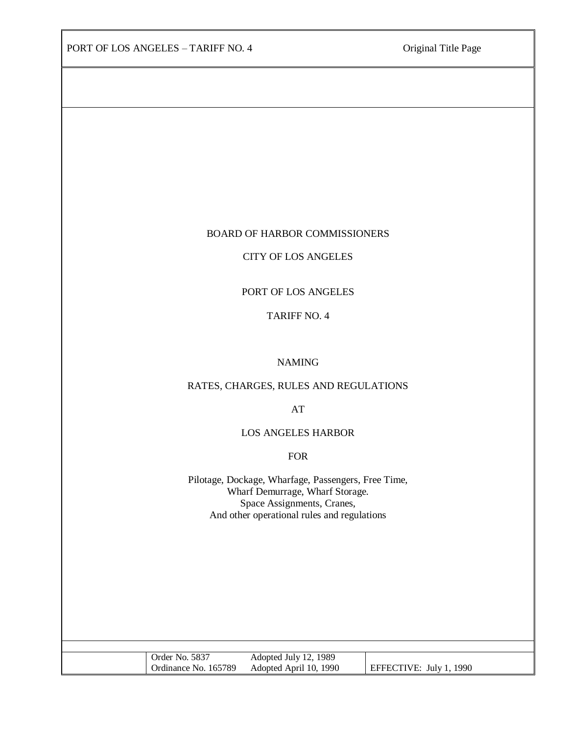#### BOARD OF HARBOR COMMISSIONERS

### CITY OF LOS ANGELES

### PORT OF LOS ANGELES

#### TARIFF NO. 4

#### NAMING

# RATES, CHARGES, RULES AND REGULATIONS

AT

#### LOS ANGELES HARBOR

FOR

Pilotage, Dockage, Wharfage, Passengers, Free Time, Wharf Demurrage, Wharf Storage. Space Assignments, Cranes, And other operational rules and regulations

| Order No. 5837       | Adopted July 12, 1989  |                         |
|----------------------|------------------------|-------------------------|
| Ordinance No. 165789 | Adopted April 10, 1990 | EFFECTIVE: July 1, 1990 |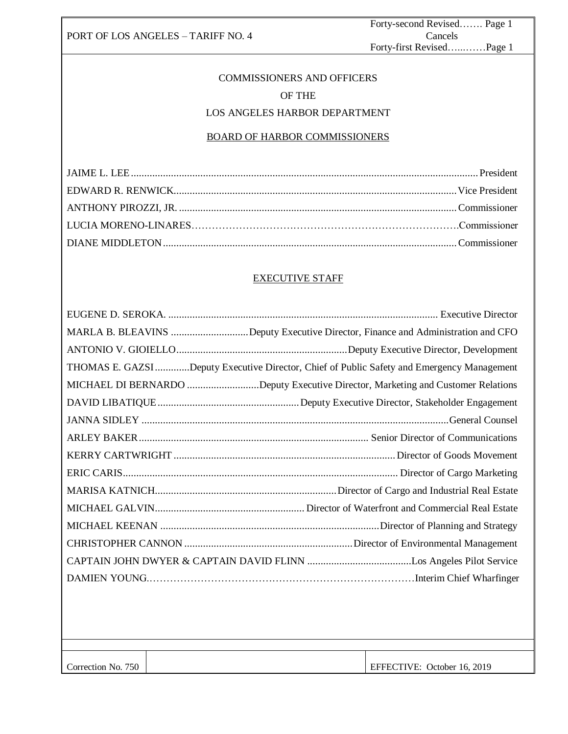Forty-second Revised……. Page 1 Cancels Forty-first Revised…...……Page 1

# COMMISSIONERS AND OFFICERS OF THE LOS ANGELES HARBOR DEPARTMENT

# BOARD OF HARBOR COMMISSIONERS

# EXECUTIVE STAFF

| MARLA B. BLEAVINS Deputy Executive Director, Finance and Administration and CFO           |
|-------------------------------------------------------------------------------------------|
|                                                                                           |
| THOMAS E. GAZSIDeputy Executive Director, Chief of Public Safety and Emergency Management |
| MICHAEL DI BERNARDO Deputy Executive Director, Marketing and Customer Relations           |
|                                                                                           |
|                                                                                           |
|                                                                                           |
|                                                                                           |
|                                                                                           |
|                                                                                           |
|                                                                                           |
|                                                                                           |
|                                                                                           |
|                                                                                           |
|                                                                                           |
|                                                                                           |
|                                                                                           |
|                                                                                           |
|                                                                                           |

Correction No. 750

66868467

EFFECTIVE: October 16, 2019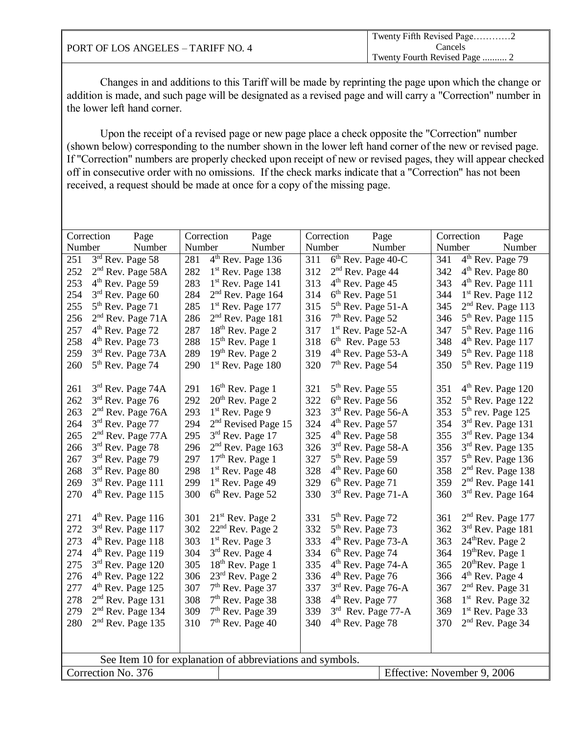|                                    | Twenty Fifth Revised Page2 |
|------------------------------------|----------------------------|
| PORT OF LOS ANGELES – TARIFF NO. 4 | Cancels                    |
|                                    |                            |

|                                                   | Correction<br>Page            | Correction | Page                                                      |        | Correction                   | Page                           |        | Correction        | Page                          |
|---------------------------------------------------|-------------------------------|------------|-----------------------------------------------------------|--------|------------------------------|--------------------------------|--------|-------------------|-------------------------------|
| Number                                            | Number                        | Number     | Number                                                    | Number |                              | Number                         | Number |                   | Number                        |
| 251                                               | $3rd$ Rev. Page 58            | 281        | 4 <sup>th</sup> Rev. Page 136                             | 311    |                              | 6 <sup>th</sup> Rev. Page 40-C | 341    |                   | $4th$ Rev. Page 79            |
| 252                                               | 2 <sup>nd</sup> Rev. Page 58A | 282        | 1 <sup>st</sup> Rev. Page 138                             | 312    | 2 <sup>nd</sup> Rev. Page 44 |                                | 342    |                   | 4 <sup>th</sup> Rev. Page 80  |
| 253                                               | 4 <sup>th</sup> Rev. Page 59  | 283        | $1st$ Rev. Page 141                                       | 313    | 4 <sup>th</sup> Rev. Page 45 |                                | 343    |                   | $4th$ Rev. Page 111           |
| 254                                               | $3rd$ Rev. Page 60            | 284        | $2nd$ Rev. Page 164                                       | 314    | $6th$ Rev. Page 51           |                                | 344    |                   | $1st$ Rev. Page 112           |
| 255                                               | 5 <sup>th</sup> Rev. Page 71  | 285        | $1st$ Rev. Page 177                                       | 315    |                              | $5th$ Rev. Page 51-A           | 345    |                   | $2nd$ Rev. Page 113           |
| 256                                               | $2nd$ Rev. Page 71A           | 286        | 2 <sup>nd</sup> Rev. Page 181                             | 316    | $7th$ Rev. Page 52           |                                | 346    |                   | 5 <sup>th</sup> Rev. Page 115 |
| 257                                               | 4 <sup>th</sup> Rev. Page 72  | 287        | 18 <sup>th</sup> Rev. Page 2                              | 317    |                              | 1 <sup>st</sup> Rev. Page 52-A | 347    |                   | 5 <sup>th</sup> Rev. Page 116 |
| 258                                               | 4 <sup>th</sup> Rev. Page 73  | 288        | 15 <sup>th</sup> Rev. Page 1                              | 318    | $6th$ Rev. Page 53           |                                | 348    |                   | $4th$ Rev. Page 117           |
| 259                                               | $3rd$ Rev. Page 73A           | 289        | $19th$ Rev. Page 2                                        | 319    |                              | $4th$ Rev. Page 53-A           | 349    |                   | $5th$ Rev. Page 118           |
| 260                                               | 5 <sup>th</sup> Rev. Page 74  | 290        | 1 <sup>st</sup> Rev. Page 180                             | 320    | $7th$ Rev. Page 54           |                                | 350    |                   | 5 <sup>th</sup> Rev. Page 119 |
|                                                   |                               |            |                                                           |        |                              |                                |        |                   |                               |
| 261                                               | $3rd$ Rev. Page 74A           | 291        | 16 <sup>th</sup> Rev. Page 1                              | 321    | $5th$ Rev. Page 55           |                                | 351    |                   | 4 <sup>th</sup> Rev. Page 120 |
| 262                                               | 3 <sup>rd</sup> Rev. Page 76  | 292        | 20 <sup>th</sup> Rev. Page 2                              | 322    | $6th$ Rev. Page 56           |                                | 352    |                   | 5 <sup>th</sup> Rev. Page 122 |
| 263                                               | 2 <sup>nd</sup> Rev. Page 76A | 293        | $1st$ Rev. Page 9                                         | 323    |                              | 3rd Rev. Page 56-A             | 353    |                   | $5th$ rev. Page 125           |
| 264                                               | 3 <sup>rd</sup> Rev. Page 77  | 294        | 2 <sup>nd</sup> Revised Page 15                           | 324    | $4th$ Rev. Page 57           |                                | 354    |                   | 3rd Rev. Page 131             |
| 265                                               | $2nd$ Rev. Page 77A           | 295        | 3rd Rev. Page 17                                          | 325    | $4th$ Rev. Page 58           |                                | 355    |                   | 3 <sup>rd</sup> Rev. Page 134 |
| 266                                               | 3rd Rev. Page 78              | 296        | $2nd$ Rev. Page 163                                       | 326    |                              | $3rd$ Rev. Page 58-A           | 356    |                   | $3rd$ Rev. Page 135           |
| 267                                               | 3rd Rev. Page 79              | 297        | $17th$ Rev. Page 1                                        | 327    | $5th$ Rev. Page 59           |                                | 357    |                   | $5th$ Rev. Page 136           |
| 268                                               | 3rd Rev. Page 80              | 298        | $1st$ Rev. Page 48                                        | 328    | $4th$ Rev. Page 60           |                                | 358    |                   | 2 <sup>nd</sup> Rev. Page 138 |
| 269                                               | 3rd Rev. Page 111             | 299        | $1st$ Rev. Page 49                                        | 329    | $6th$ Rev. Page 71           |                                | 359    |                   | 2 <sup>nd</sup> Rev. Page 141 |
| 270                                               | 4 <sup>th</sup> Rev. Page 115 | 300        | 6 <sup>th</sup> Rev. Page 52                              | 330    |                              | $3rd$ Rev. Page 71-A           | 360    |                   | 3rd Rev. Page 164             |
|                                                   |                               |            |                                                           |        |                              |                                |        |                   |                               |
| 271                                               | $4th$ Rev. Page 116           | 301        | $21st$ Rev. Page 2                                        | 331    | 5 <sup>th</sup> Rev. Page 72 |                                | 361    |                   | $2nd$ Rev. Page 177           |
| 272                                               | 3rd Rev. Page 117             | 302        | 22 <sup>nd</sup> Rev. Page 2                              | 332    | $5th$ Rev. Page 73           |                                | 362    |                   | 3rd Rev. Page 181             |
| 273                                               | 4 <sup>th</sup> Rev. Page 118 | 303        | $1st$ Rev. Page 3                                         | 333    |                              | 4 <sup>th</sup> Rev. Page 73-A | 363    |                   | 24 <sup>th</sup> Rev. Page 2  |
| 274                                               | $4th$ Rev. Page 119           | 304        | 3rd Rev. Page 4                                           | 334    | 6 <sup>th</sup> Rev. Page 74 |                                | 364    |                   | 19 <sup>th</sup> Rev. Page 1  |
| 275                                               | 3rd Rev. Page 120             | 305        | 18 <sup>th</sup> Rev. Page 1                              | 335    |                              | 4 <sup>th</sup> Rev. Page 74-A | 365    |                   | $20th$ Rev. Page 1            |
| 276                                               | $4th$ Rev. Page 122           | 306        | 23rd Rev. Page 2                                          | 336    | $4th$ Rev. Page 76           |                                | 366    | $4th$ Rev. Page 4 |                               |
| 277                                               | $4th$ Rev. Page 125           | 307        | $7th$ Rev. Page 37                                        | 337    |                              | $3rd$ Rev. Page 76-A           | 367    |                   | $2nd$ Rev. Page 31            |
| 278                                               | $2nd$ Rev. Page 131           | 308        | $7th$ Rev. Page 38                                        | 338    | $4th$ Rev. Page 77           |                                | 368    |                   | $1st$ Rev. Page 32            |
| 279                                               | 2 <sup>nd</sup> Rev. Page 134 | 309        | $7th$ Rev. Page 39                                        | 339    |                              | $3rd$ Rev. Page 77-A           | 369    |                   | $1st$ Rev. Page 33            |
| 280                                               | 2 <sup>nd</sup> Rev. Page 135 | 310        | $7th$ Rev. Page 40                                        | 340    | 4 <sup>th</sup> Rev. Page 78 |                                | 370    |                   | $2nd$ Rev. Page 34            |
|                                                   |                               |            |                                                           |        |                              |                                |        |                   |                               |
|                                                   |                               |            |                                                           |        |                              |                                |        |                   |                               |
|                                                   |                               |            | See Item 10 for explanation of abbreviations and symbols. |        |                              |                                |        |                   |                               |
| Correction No. 376<br>Effective: November 9, 2006 |                               |            |                                                           |        |                              |                                |        |                   |                               |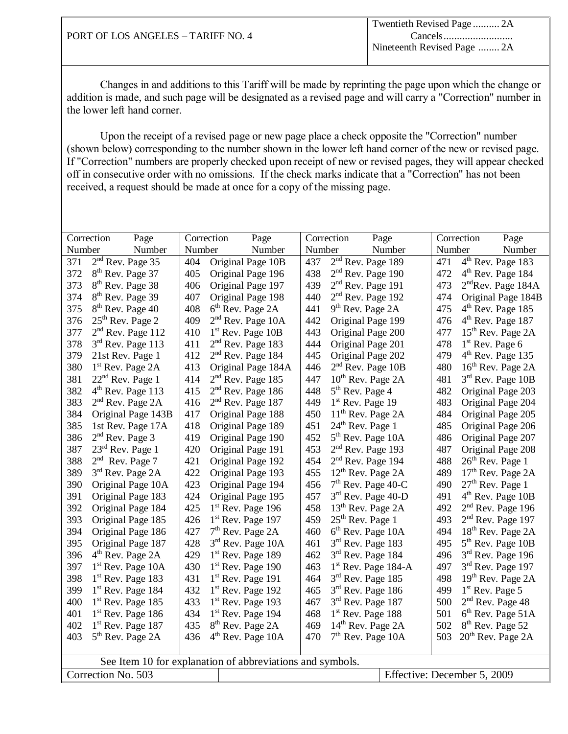|        | Correction<br>Page            | Correction | Page                                                      |        | Correction                     | Page                        |        | Correction        | Page                           |
|--------|-------------------------------|------------|-----------------------------------------------------------|--------|--------------------------------|-----------------------------|--------|-------------------|--------------------------------|
| Number | Number                        | Number     | Number                                                    | Number |                                | Number                      | Number |                   | Number                         |
| 371    | 2 <sup>nd</sup> Rev. Page 35  | 404        | Original Page 10B                                         | 437    | $2nd$ Rev. Page 189            |                             | 471    |                   | 4 <sup>th</sup> Rev. Page 183  |
| 372    | 8 <sup>th</sup> Rev. Page 37  | 405        | Original Page 196                                         | 438    | $2nd$ Rev. Page 190            |                             | 472    |                   | $4th$ Rev. Page 184            |
| 373    | 8 <sup>th</sup> Rev. Page 38  | 406        | Original Page 197                                         | 439    | $2nd$ Rev. Page 191            |                             | 473    |                   | 2 <sup>nd</sup> Rev. Page 184A |
| 374    | 8 <sup>th</sup> Rev. Page 39  | 407        | Original Page 198                                         | 440    | $2nd$ Rev. Page 192            |                             | 474    |                   | Original Page 184B             |
| 375    | 8 <sup>th</sup> Rev. Page 40  | 408        | 6 <sup>th</sup> Rev. Page 2A                              | 441    | $9th$ Rev. Page 2A             |                             | 475    |                   | $4th$ Rev. Page 185            |
| 376    | $25th$ Rev. Page 2            | 409        | $2nd$ Rev. Page 10A                                       | 442    | Original Page 199              |                             | 476    |                   | $4th$ Rev. Page 187            |
| 377    | $2nd$ Rev. Page 112           | 410        | $1st$ Rev. Page 10B                                       | 443    | Original Page 200              |                             | 477    |                   | 15 <sup>th</sup> Rev. Page 2A  |
| 378    | 3rd Rev. Page 113             | 411        | $2nd$ Rev. Page 183                                       | 444    | Original Page 201              |                             | 478    | $1st$ Rev. Page 6 |                                |
| 379    | 21st Rev. Page 1              | 412        | 2 <sup>nd</sup> Rev. Page 184                             | 445    | Original Page 202              |                             | 479    |                   | 4 <sup>th</sup> Rev. Page 135  |
| 380    | 1 <sup>st</sup> Rev. Page 2A  | 413        | Original Page 184A                                        | 446    | $2nd$ Rev. Page 10B            |                             | 480    |                   | 16 <sup>th</sup> Rev. Page 2A  |
| 381    | $22nd$ Rev. Page 1            | 414        | $2nd$ Rev. Page 185                                       | 447    | $10th$ Rev. Page 2A            |                             | 481    |                   | 3rd Rev. Page 10B              |
| 382    | 4 <sup>th</sup> Rev. Page 113 | 415        | 2 <sup>nd</sup> Rev. Page 186                             | 448    | $5th$ Rev. Page 4              |                             | 482    |                   | Original Page 203              |
| 383    | $2nd$ Rev. Page 2A            | 416        | $2nd$ Rev. Page 187                                       | 449    | 1 <sup>st</sup> Rev. Page 19   |                             | 483    |                   | Original Page 204              |
| 384    | Original Page 143B            | 417        | Original Page 188                                         | 450    | 11 <sup>th</sup> Rev. Page 2A  |                             | 484    |                   | Original Page 205              |
| 385    | 1st Rev. Page 17A             | 418        | Original Page 189                                         | 451    | $24th$ Rev. Page 1             |                             | 485    |                   | Original Page 206              |
| 386    | $2nd$ Rev. Page 3             | 419        | Original Page 190                                         | 452    | $5th$ Rev. Page 10A            |                             | 486    |                   | Original Page 207              |
| 387    | $23rd$ Rev. Page 1            | 420        | Original Page 191                                         | 453    | $2nd$ Rev. Page 193            |                             | 487    |                   | Original Page 208              |
| 388    | $2nd$ Rev. Page 7             | 421        | Original Page 192                                         | 454    | 2 <sup>nd</sup> Rev. Page 194  |                             | 488    |                   | 26 <sup>th</sup> Rev. Page 1   |
| 389    | 3rd Rev. Page 2A              | 422        | Original Page 193                                         | 455    | 12 <sup>th</sup> Rev. Page 2A  |                             | 489    |                   | 17 <sup>th</sup> Rev. Page 2A  |
| 390    | Original Page 10A             | 423        | Original Page 194                                         | 456    | $7th$ Rev. Page 40-C           |                             | 490    |                   | $27th$ Rev. Page 1             |
| 391    | Original Page 183             | 424        | Original Page 195                                         | 457    | 3 <sup>rd</sup> Rev. Page 40-D |                             | 491    |                   | $4th$ Rev. Page 10B            |
| 392    | Original Page 184             | 425        | $1st$ Rev. Page 196                                       | 458    | 13 <sup>th</sup> Rev. Page 2A  |                             | 492    |                   | $2nd$ Rev. Page 196            |
| 393    | Original Page 185             | 426        | $1st$ Rev. Page 197                                       | 459    | $25th$ Rev. Page 1             |                             | 493    |                   | $2nd$ Rev. Page 197            |
| 394    | Original Page 186             | 427        | $7th$ Rev. Page 2A                                        | 460    | $6th$ Rev. Page 10A            |                             | 494    |                   | 18 <sup>th</sup> Rev. Page 2A  |
| 395    | Original Page 187             | 428        | $3rd$ Rev. Page 10A                                       | 461    | $3rd$ Rev. Page 183            |                             | 495    |                   | 5 <sup>th</sup> Rev. Page 10B  |
| 396    | $4th$ Rev. Page 2A            | 429        | $1st$ Rev. Page 189                                       | 462    | $3rd$ Rev. Page 184            |                             | 496    |                   | $3rd$ Rev. Page 196            |
| 397    | $1st$ Rev. Page 10A           | 430        | $1st$ Rev. Page 190                                       | 463    |                                | $1st$ Rev. Page 184-A       | 497    |                   | $3rd$ Rev. Page 197            |
| 398    | $1st$ Rev. Page 183           | 431        | 1 <sup>st</sup> Rev. Page 191                             | 464    | 3rd Rev. Page 185              |                             | 498    |                   | $19th$ Rev. Page 2A            |
| 399    | 1 <sup>st</sup> Rev. Page 184 | 432        | $1st$ Rev. Page 192                                       | 465    | $3rd$ Rev. Page 186            |                             | 499    | $1st$ Rev. Page 5 |                                |
| 400    | $1st$ Rev. Page 185           | 433        | 1 <sup>st</sup> Rev. Page 193                             | 467    | $3rd$ Rev. Page 187            |                             | 500    |                   | $2nd$ Rev. Page 48             |
| 401    | $1st$ Rev. Page 186           | 434        | $1st$ Rev. Page 194                                       | 468    | 1 <sup>st</sup> Rev. Page 188  |                             | 501    |                   | $6th$ Rev. Page 51A            |
| 402    | $1st$ Rev. Page 187           | 435        | 8 <sup>th</sup> Rev. Page 2A                              | 469    | 14 <sup>th</sup> Rev. Page 2A  |                             | 502    |                   | 8 <sup>th</sup> Rev. Page 52   |
| 403    | 5 <sup>th</sup> Rev. Page 2A  | 436        | 4 <sup>th</sup> Rev. Page 10A                             | 470    | 7 <sup>th</sup> Rev. Page 10A  |                             | 503    |                   | 20 <sup>th</sup> Rev. Page 2A  |
|        |                               |            |                                                           |        |                                |                             |        |                   |                                |
|        |                               |            | See Item 10 for explanation of abbreviations and symbols. |        |                                |                             |        |                   |                                |
|        | Correction No. 503            |            |                                                           |        |                                | Effective: December 5, 2009 |        |                   |                                |
|        |                               |            |                                                           |        |                                |                             |        |                   |                                |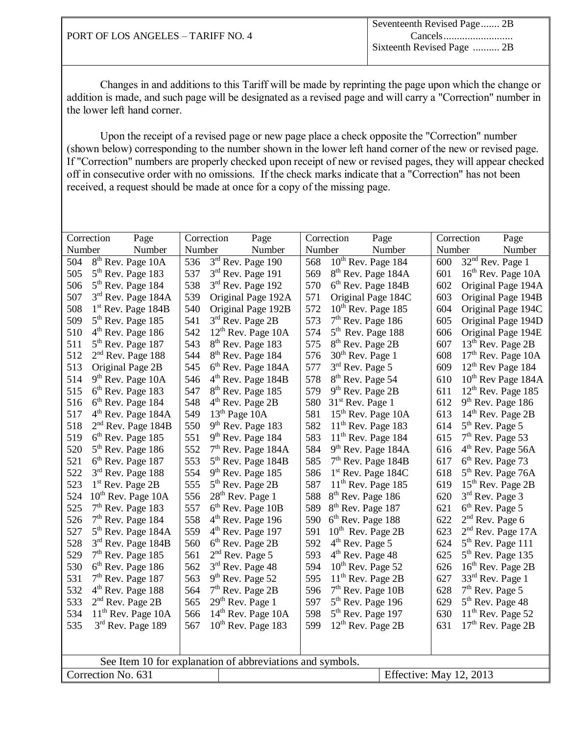|                                    | Seventeenth Revised Page 2B |
|------------------------------------|-----------------------------|
| PORT OF LOS ANGELES - TARIFF NO. 4 |                             |
|                                    | Sixteenth Revised Page  2B  |
|                                    |                             |

|                                               | Correction<br>Page             | Correction | Page                                                      |        | Correction                    | Page                                        |        | Correction                    | Page                           |
|-----------------------------------------------|--------------------------------|------------|-----------------------------------------------------------|--------|-------------------------------|---------------------------------------------|--------|-------------------------------|--------------------------------|
| Number                                        | Number                         | Number     | Number                                                    | Number |                               | Number                                      | Number |                               | Number                         |
| 504                                           | 8 <sup>th</sup> Rev. Page 10A  | 536        | 3rd Rev. Page 190                                         | 568    |                               | $\overline{10}$ <sup>th</sup> Rev. Page 184 | 600    | $32nd$ Rev. Page 1            |                                |
| 505                                           | $5th$ Rev. Page 183            | 537        | 3rd Rev. Page 191                                         | 569    |                               | 8 <sup>th</sup> Rev. Page 184A              | 601    |                               | 16 <sup>th</sup> Rev. Page 10A |
| 506                                           | $5th$ Rev. Page 184            | 538        | $3rd$ Rev. Page 192                                       | 570    |                               | 6 <sup>th</sup> Rev. Page 184B              | 602    |                               | Original Page 194A             |
| 507                                           | $3rd$ Rev. Page 184A           | 539        | Original Page 192A                                        | 571    |                               | Original Page 184C                          | 603    |                               | Original Page 194B             |
| 508                                           | $1st$ Rev. Page 184B           | 540        | Original Page 192B                                        | 572    |                               | $10th$ Rev. Page 185                        | 604    |                               | Original Page 194C             |
| 509                                           | $5th$ Rev. Page 185            | 541        | $3rd$ Rev. Page 2B                                        | 573    |                               | $7th$ Rev. Page 186                         | 605    |                               | Original Page 194D             |
| 510                                           | 4 <sup>th</sup> Rev. Page 186  | 542        | $12th$ Rev. Page 10A                                      | 574    |                               | $5th$ Rev. Page 188                         | 606    |                               | Original Page 194E             |
| 511                                           | $5th$ Rev. Page 187            | 543        | 8 <sup>th</sup> Rev. Page 183                             | 575    | 8 <sup>th</sup> Rev. Page 2B  |                                             | 607    |                               | 13 <sup>th</sup> Rev. Page 2B  |
| 512                                           | $2nd$ Rev. Page 188            | 544        | 8 <sup>th</sup> Rev. Page 184                             | 576    | $30th$ Rev. Page 1            |                                             | 608    |                               | 17 <sup>th</sup> Rev. Page 10A |
| 513                                           | Original Page 2B               | 545        | 6 <sup>th</sup> Rev. Page 184A                            | 577    | $3rd$ Rev. Page 5             |                                             | 609    |                               | 12 <sup>th</sup> Rev Page 184  |
| 514                                           | 9 <sup>th</sup> Rev. Page 10A  | 546        | $4th$ Rev. Page 184B                                      | 578    | 8 <sup>th</sup> Rev. Page 54  |                                             | 610    |                               | 10 <sup>th</sup> Rev Page 184A |
| 515                                           | $6th$ Rev. Page 183            | 547        | 8 <sup>th</sup> Rev. Page 185                             | 579    | $9th$ Rev. Page 2B            |                                             | 611    |                               | 12 <sup>th</sup> Rev. Page 185 |
| 516                                           | 6 <sup>th</sup> Rev. Page 184  | 548        | 4 <sup>th</sup> Rev. Page 2B                              | 580    | 31 <sup>st</sup> Rev. Page 1  |                                             | 612    | 9 <sup>th</sup> Rev. Page 186 |                                |
| 517                                           | 4 <sup>th</sup> Rev. Page 184A | 549        | $13th$ Page 10A                                           | 581    |                               | 15 <sup>th</sup> Rev. Page 10A              | 613    |                               | $14th$ Rev. Page 2B            |
| 518                                           | $2nd$ Rev. Page 184B           | 550        | $9th$ Rev. Page 183                                       | 582    |                               | $11th$ Rev. Page 183                        | 614    | 5 <sup>th</sup> Rev. Page 5   |                                |
| 519                                           | 6 <sup>th</sup> Rev. Page 185  | 551        | $9th$ Rev. Page 184                                       | 583    |                               | $11th$ Rev. Page 184                        | 615    | $7th$ Rev. Page 53            |                                |
| 520                                           | $5th$ Rev. Page 186            | 552        | $7th$ Rev. Page 184A                                      | 584    |                               | $9th$ Rev. Page 184A                        | 616    |                               | $4th$ Rev. Page 56A            |
| 521                                           | $6th$ Rev. Page 187            | 553        | $5th$ Rev. Page 184B                                      | 585    |                               | $7th$ Rev. Page 184B                        | 617    | 6 <sup>th</sup> Rev. Page 73  |                                |
| 522                                           | $3rd$ Rev. Page 188            | 554        | $9th$ Rev. Page 185                                       | 586    |                               | $1st$ Rev. Page 184C                        | 618    |                               | 5 <sup>th</sup> Rev. Page 76A  |
| 523                                           | $1st$ Rev. Page 2B             | 555        | $5th$ Rev. Page 2B                                        | 587    |                               | $11th$ Rev. Page 185                        | 619    | $15th$ Rev. Page 2B           |                                |
| 524                                           | $10th$ Rev. Page 10A           | 556        | $28th$ Rev. Page 1                                        | 588    | 8 <sup>th</sup> Rev. Page 186 |                                             | 620    | $3rd$ Rev. Page 3             |                                |
| 525                                           | $7th$ Rev. Page 183            | 557        | $6th$ Rev. Page 10B                                       | 589    | $8th$ Rev. Page 187           |                                             | 621    | 6 <sup>th</sup> Rev. Page 5   |                                |
| 526                                           | $7th$ Rev. Page 184            | 558        | $4th$ Rev. Page 196                                       | 590    | $6th$ Rev. Page 188           |                                             | 622    | $2nd$ Rev. Page 6             |                                |
| 527                                           | $5th$ Rev. Page 184A           | 559        | $4th$ Rev. Page 197                                       | 591    |                               | $10^{th}$ Rev. Page 2B                      | 623    |                               | $2nd$ Rev. Page 17A            |
| 528                                           | 3 <sup>rd</sup> Rev. Page 184B | 560        | 6 <sup>th</sup> Rev. Page 2B                              | 592    | $4th$ Rev. Page 5             |                                             | 624    | $5th$ Rev. Page 111           |                                |
| 529                                           | $7th$ Rev. Page 185            | 561        | $2nd$ Rev. Page 5                                         | 593    | $4th$ Rev. Page 48            |                                             | 625    | $5th$ Rev. Page 135           |                                |
| 530                                           | $6th$ Rev. Page 186            | 562        | $3rd$ Rev. Page 48                                        | 594    |                               | $10th$ Rev. Page 52                         | 626    |                               | $16th$ Rev. Page 2B            |
| 531                                           | $7th$ Rev. Page 187            | 563        | $9th$ Rev. Page 52                                        | 595    |                               | $11th$ Rev. Page 2B                         | 627    | 33 <sup>rd</sup> Rev. Page 1  |                                |
| 532                                           | $4th$ Rev. Page 188            | 564        | $7th$ Rev. Page 2B                                        | 596    |                               | $7th$ Rev. Page 10B                         | 628    | $7th$ Rev. Page 5             |                                |
| 533                                           | $2nd$ Rev. Page 2B             | 565        | $29th$ Rev. Page 1                                        | 597    |                               | $5th$ Rev. Page 196                         | 629    | 5 <sup>th</sup> Rev. Page 48  |                                |
| 534                                           | $11th$ Rev. Page 10A           | 566        | $14th$ Rev. Page 10A                                      | 598    |                               | $5th$ Rev. Page 197                         | 630    | $11th$ Rev. Page 52           |                                |
| 535                                           | 3rd Rev. Page 189              | 567        | $10th$ Rev. Page 183                                      | 599    |                               | 12 <sup>th</sup> Rev. Page 2B               | 631    |                               | 17 <sup>th</sup> Rev. Page 2B  |
|                                               |                                |            |                                                           |        |                               |                                             |        |                               |                                |
|                                               |                                |            |                                                           |        |                               |                                             |        |                               |                                |
|                                               |                                |            | See Item 10 for explanation of abbreviations and symbols. |        |                               |                                             |        |                               |                                |
| Correction No. 631<br>Effective: May 12, 2013 |                                |            |                                                           |        |                               |                                             |        |                               |                                |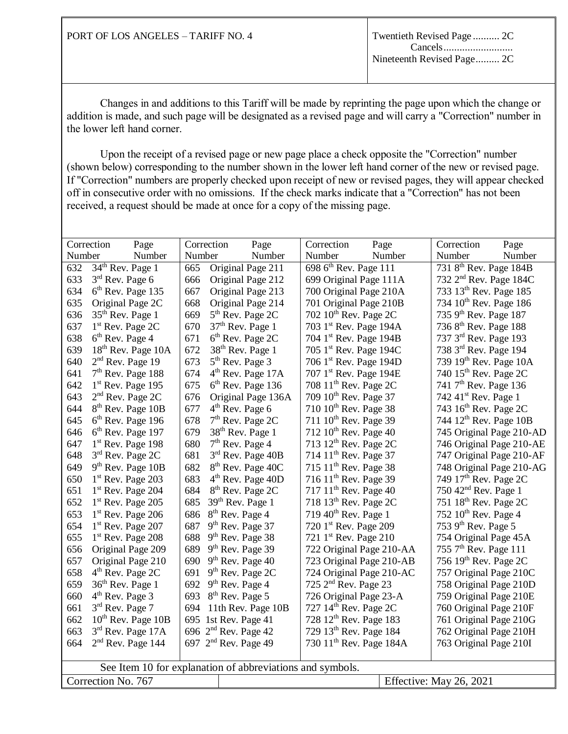|        | Correction<br>Page                            | Correction | Page                                                      | Correction                          | Page   | Correction<br>Page                 |  |
|--------|-----------------------------------------------|------------|-----------------------------------------------------------|-------------------------------------|--------|------------------------------------|--|
| Number | Number                                        | Number     | Number                                                    | Number                              | Number | Number<br>Number                   |  |
| 632    | 34 <sup>th</sup> Rev. Page 1                  | 665        | Original Page 211                                         | 698 6 <sup>th</sup> Rev. Page 111   |        | 731 8 <sup>th</sup> Rev. Page 184B |  |
| 633    | $3rd$ Rev. Page 6                             | 666        | Original Page 212                                         | 699 Original Page 111A              |        | 732 2 <sup>nd</sup> Rev. Page 184C |  |
| 634    | $6th$ Rev. Page 135                           | 667        | Original Page 213                                         | 700 Original Page 210A              |        | 733 13 <sup>th</sup> Rev. Page 185 |  |
| 635    | Original Page 2C                              | 668        | Original Page 214                                         | 701 Original Page 210B              |        | 734 10 <sup>th</sup> Rev. Page 186 |  |
| 636    | $35th$ Rev. Page 1                            | 669        | $5th$ Rev. Page 2C                                        | 702 $10^{\text{th}}$ Rev. Page 2C   |        | 735 9th Rev. Page 187              |  |
| 637    | 1 <sup>st</sup> Rev. Page 2C                  | 670        | $37th$ Rev. Page 1                                        | 703 1st Rev. Page 194A              |        | 736 8 <sup>th</sup> Rev. Page 188  |  |
| 638    | 6 <sup>th</sup> Rev. Page 4                   | 671        | $6th$ Rev. Page 2C                                        | 704 1st Rev. Page 194B              |        | 737 3 <sup>rd</sup> Rev. Page 193  |  |
| 639    | 18 <sup>th</sup> Rev. Page 10A                | 672        | 38 <sup>th</sup> Rev. Page 1                              | 705 1st Rev. Page 194C              |        | 738 3rd Rev. Page 194              |  |
| 640    | $2nd$ Rev. Page 19                            | 673        | $5th$ Rev. Page 3                                         | 706 1st Rev. Page 194D              |        | 739 19 <sup>th</sup> Rev. Page 10A |  |
| 641    | $7th$ Rev. Page 188                           | 674        | 4 <sup>th</sup> Rev. Page 17A                             | 707 1 <sup>st</sup> Rev. Page 194E  |        | 740 15 <sup>th</sup> Rev. Page 2C  |  |
| 642    | $1st$ Rev. Page 195                           | 675        | 6 <sup>th</sup> Rev. Page 136                             | 708 $11th$ Rev. Page 2C             |        | 741 7 <sup>th</sup> Rev. Page 136  |  |
| 643    | $2nd$ Rev. Page 2C                            | 676        | Original Page 136A                                        | 709 10 <sup>th</sup> Rev. Page 37   |        | 742 41 <sup>st</sup> Rev. Page 1   |  |
| 644    | 8 <sup>th</sup> Rev. Page 10B                 | 677        | $4th$ Rev. Page 6                                         | $710~10^{th}$ Rev. Page 38          |        | 743 $16th$ Rev. Page 2C            |  |
| 645    | 6 <sup>th</sup> Rev. Page 196                 | 678        | $7th$ Rev. Page 2C                                        | $711~10^{th}$ Rev. Page 39          |        | 744 12 <sup>th</sup> Rev. Page 10B |  |
| 646    | 6 <sup>th</sup> Rev. Page 197                 | 679        | 38 <sup>th</sup> Rev. Page 1                              | $712~10^{th}$ Rev. Page 40          |        | 745 Original Page 210-AD           |  |
| 647    | $1st$ Rev. Page 198                           | 680        | $7th$ Rev. Page 4                                         | 713 $12th$ Rev. Page 2C             |        | 746 Original Page 210-AE           |  |
| 648    | $3rd$ Rev. Page 2C                            | 681        | $3rd$ Rev. Page 40B                                       | 714 11 <sup>th</sup> Rev. Page 37   |        | 747 Original Page 210-AF           |  |
| 649    | $9th$ Rev. Page 10B                           | 682        | 8 <sup>th</sup> Rev. Page 40C                             | 715 $11^{th}$ Rev. Page 38          |        | 748 Original Page 210-AG           |  |
| 650    | 1 <sup>st</sup> Rev. Page 203                 | 683        | 4 <sup>th</sup> Rev. Page 40D                             | 716 $11^{th}$ Rev. Page 39          |        | 749 17 <sup>th</sup> Rev. Page 2C  |  |
| 651    | $1st$ Rev. Page 204                           | 684        | 8 <sup>th</sup> Rev. Page 2C                              | 717 11 <sup>th</sup> Rev. Page 40   |        | 750 42 <sup>nd</sup> Rev. Page 1   |  |
| 652    | $1st$ Rev. Page 205                           | 685        | $39th$ Rev. Page 1                                        | 718 $13th$ Rev. Page 2C             |        | 751 18 <sup>th</sup> Rev. Page 2C  |  |
| 653    | $1st$ Rev. Page 206                           | 686        | 8 <sup>th</sup> Rev. Page 4                               | 719 $40^{\text{th}}$ Rev. Page 1    |        | 752 $10^{th}$ Rev. Page 4          |  |
| 654    | $1st$ Rev. Page 207                           | 687        | $9th$ Rev. Page 37                                        | 720 $1^{\text{st}}$ Rev. Page 209   |        | 753 9 <sup>th</sup> Rev. Page 5    |  |
| 655    | $1st$ Rev. Page 208                           | 688        | 9 <sup>th</sup> Rev. Page 38                              | 721 $1^{\text{st}}$ Rev. Page 210   |        | 754 Original Page 45A              |  |
| 656    | Original Page 209                             | 689        | 9 <sup>th</sup> Rev. Page 39                              | 722 Original Page 210-AA            |        | 755 7 <sup>th</sup> Rev. Page 111  |  |
| 657    | Original Page 210                             | 690        | $9th$ Rev. Page 40                                        | 723 Original Page 210-AB            |        | 756 19th Rev. Page 2C              |  |
| 658    | $4th$ Rev. Page 2C                            | 691        | $9th$ Rev. Page 2C                                        | 724 Original Page 210-AC            |        | 757 Original Page 210C             |  |
| 659    | $36th$ Rev. Page 1                            | 692        | $9th$ Rev. Page 4                                         | 725 2 <sup>nd</sup> Rev. Page 23    |        | 758 Original Page 210D             |  |
| 660    | $4th$ Rev. Page 3                             | 693        | 8 <sup>th</sup> Rev. Page 5                               | 726 Original Page 23-A              |        | 759 Original Page 210E             |  |
| 661    | $3rd$ Rev. Page 7                             |            | 694 11th Rev. Page 10B                                    | 727 14 <sup>th</sup> Rev. Page 2C   |        | 760 Original Page 210F             |  |
| 662    | $10th$ Rev. Page $10B$                        |            | 695 1st Rev. Page 41                                      | 728 12 <sup>th</sup> Rev. Page 183  |        | 761 Original Page 210G             |  |
| 663    | $3rd$ Rev. Page 17A                           |            | 696 $2nd$ Rev. Page 42                                    | 729 13 <sup>th</sup> Rev. Page 184  |        | 762 Original Page 210H             |  |
| 664    | 2 <sup>nd</sup> Rev. Page 144                 |            | 697 2 <sup>nd</sup> Rev. Page 49                          | 730 11 <sup>th</sup> Rev. Page 184A |        | 763 Original Page 210I             |  |
|        |                                               |            |                                                           |                                     |        |                                    |  |
|        |                                               |            | See Item 10 for explanation of abbreviations and symbols. |                                     |        |                                    |  |
|        | Correction No. 767<br>Effective: May 26, 2021 |            |                                                           |                                     |        |                                    |  |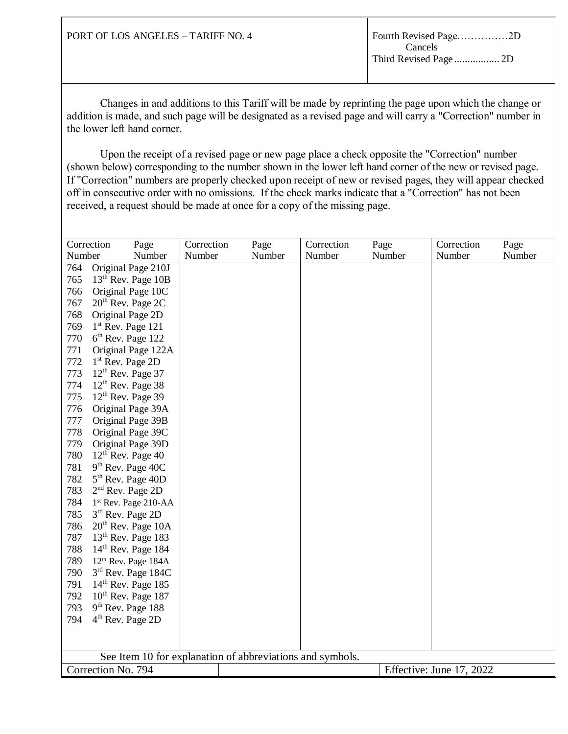| PORT OF LOS ANGELES – TARIFF NO. 4 | Cancels |
|------------------------------------|---------|
|                                    |         |

| Number<br>Number<br>Original Page 210J<br>764<br>13 <sup>th</sup> Rev. Page 10B<br>765<br>Original Page 10C<br>766<br>20 <sup>th</sup> Rev. Page 2C<br>767<br>768<br>Original Page 2D<br>$1st$ Rev. Page 121<br>769<br>770<br>$6th$ Rev. Page 122<br>771<br>Original Page 122A<br>772<br>$1st$ Rev. Page 2D<br>773<br>$12th$ Rev. Page 37<br>774<br>$12th$ Rev. Page 38<br>775<br>$12th$ Rev. Page 39<br>776<br>Original Page 39A<br>Original Page 39B<br>777<br>778<br>Original Page 39C<br>779<br>Original Page 39D<br>780<br>$12th$ Rev. Page 40<br>$9th$ Rev. Page 40C<br>781<br>782<br>$5th$ Rev. Page 40D<br>783<br>$2nd$ Rev. Page 2D<br>784<br>1 <sup>st</sup> Rev. Page 210-AA<br>785<br>3rd Rev. Page 2D<br>786<br>$20th$ Rev. Page 10A<br>787<br>$13th$ Rev. Page 183<br>788<br>$14th$ Rev. Page 184<br>789<br>12 <sup>th</sup> Rev. Page 184A<br>$3rd$ Rev. Page 184C<br>790<br>791<br>$14th$ Rev. Page 185<br>792<br>$10th$ Rev. Page 187<br>793<br>$9th$ Rev. Page 188<br>794<br>$4th$ Rev. Page 2D<br>See Item 10 for explanation of abbreviations and symbols.<br>Correction No. 794<br>Effective: June 17, 2022 | Correction | Page   | Correction |  | Page   | Correction |  | Page | Correction | Page   |
|----------------------------------------------------------------------------------------------------------------------------------------------------------------------------------------------------------------------------------------------------------------------------------------------------------------------------------------------------------------------------------------------------------------------------------------------------------------------------------------------------------------------------------------------------------------------------------------------------------------------------------------------------------------------------------------------------------------------------------------------------------------------------------------------------------------------------------------------------------------------------------------------------------------------------------------------------------------------------------------------------------------------------------------------------------------------------------------------------------------------------------|------------|--------|------------|--|--------|------------|--|------|------------|--------|
|                                                                                                                                                                                                                                                                                                                                                                                                                                                                                                                                                                                                                                                                                                                                                                                                                                                                                                                                                                                                                                                                                                                                  |            | Number | Number     |  | Number | Number     |  |      | Number     | Number |
|                                                                                                                                                                                                                                                                                                                                                                                                                                                                                                                                                                                                                                                                                                                                                                                                                                                                                                                                                                                                                                                                                                                                  |            |        |            |  |        |            |  |      |            |        |
|                                                                                                                                                                                                                                                                                                                                                                                                                                                                                                                                                                                                                                                                                                                                                                                                                                                                                                                                                                                                                                                                                                                                  |            |        |            |  |        |            |  |      |            |        |
|                                                                                                                                                                                                                                                                                                                                                                                                                                                                                                                                                                                                                                                                                                                                                                                                                                                                                                                                                                                                                                                                                                                                  |            |        |            |  |        |            |  |      |            |        |
|                                                                                                                                                                                                                                                                                                                                                                                                                                                                                                                                                                                                                                                                                                                                                                                                                                                                                                                                                                                                                                                                                                                                  |            |        |            |  |        |            |  |      |            |        |
|                                                                                                                                                                                                                                                                                                                                                                                                                                                                                                                                                                                                                                                                                                                                                                                                                                                                                                                                                                                                                                                                                                                                  |            |        |            |  |        |            |  |      |            |        |
|                                                                                                                                                                                                                                                                                                                                                                                                                                                                                                                                                                                                                                                                                                                                                                                                                                                                                                                                                                                                                                                                                                                                  |            |        |            |  |        |            |  |      |            |        |
|                                                                                                                                                                                                                                                                                                                                                                                                                                                                                                                                                                                                                                                                                                                                                                                                                                                                                                                                                                                                                                                                                                                                  |            |        |            |  |        |            |  |      |            |        |
|                                                                                                                                                                                                                                                                                                                                                                                                                                                                                                                                                                                                                                                                                                                                                                                                                                                                                                                                                                                                                                                                                                                                  |            |        |            |  |        |            |  |      |            |        |
|                                                                                                                                                                                                                                                                                                                                                                                                                                                                                                                                                                                                                                                                                                                                                                                                                                                                                                                                                                                                                                                                                                                                  |            |        |            |  |        |            |  |      |            |        |
|                                                                                                                                                                                                                                                                                                                                                                                                                                                                                                                                                                                                                                                                                                                                                                                                                                                                                                                                                                                                                                                                                                                                  |            |        |            |  |        |            |  |      |            |        |
|                                                                                                                                                                                                                                                                                                                                                                                                                                                                                                                                                                                                                                                                                                                                                                                                                                                                                                                                                                                                                                                                                                                                  |            |        |            |  |        |            |  |      |            |        |
|                                                                                                                                                                                                                                                                                                                                                                                                                                                                                                                                                                                                                                                                                                                                                                                                                                                                                                                                                                                                                                                                                                                                  |            |        |            |  |        |            |  |      |            |        |
|                                                                                                                                                                                                                                                                                                                                                                                                                                                                                                                                                                                                                                                                                                                                                                                                                                                                                                                                                                                                                                                                                                                                  |            |        |            |  |        |            |  |      |            |        |
|                                                                                                                                                                                                                                                                                                                                                                                                                                                                                                                                                                                                                                                                                                                                                                                                                                                                                                                                                                                                                                                                                                                                  |            |        |            |  |        |            |  |      |            |        |
|                                                                                                                                                                                                                                                                                                                                                                                                                                                                                                                                                                                                                                                                                                                                                                                                                                                                                                                                                                                                                                                                                                                                  |            |        |            |  |        |            |  |      |            |        |
|                                                                                                                                                                                                                                                                                                                                                                                                                                                                                                                                                                                                                                                                                                                                                                                                                                                                                                                                                                                                                                                                                                                                  |            |        |            |  |        |            |  |      |            |        |
|                                                                                                                                                                                                                                                                                                                                                                                                                                                                                                                                                                                                                                                                                                                                                                                                                                                                                                                                                                                                                                                                                                                                  |            |        |            |  |        |            |  |      |            |        |
|                                                                                                                                                                                                                                                                                                                                                                                                                                                                                                                                                                                                                                                                                                                                                                                                                                                                                                                                                                                                                                                                                                                                  |            |        |            |  |        |            |  |      |            |        |
|                                                                                                                                                                                                                                                                                                                                                                                                                                                                                                                                                                                                                                                                                                                                                                                                                                                                                                                                                                                                                                                                                                                                  |            |        |            |  |        |            |  |      |            |        |
|                                                                                                                                                                                                                                                                                                                                                                                                                                                                                                                                                                                                                                                                                                                                                                                                                                                                                                                                                                                                                                                                                                                                  |            |        |            |  |        |            |  |      |            |        |
|                                                                                                                                                                                                                                                                                                                                                                                                                                                                                                                                                                                                                                                                                                                                                                                                                                                                                                                                                                                                                                                                                                                                  |            |        |            |  |        |            |  |      |            |        |
|                                                                                                                                                                                                                                                                                                                                                                                                                                                                                                                                                                                                                                                                                                                                                                                                                                                                                                                                                                                                                                                                                                                                  |            |        |            |  |        |            |  |      |            |        |
|                                                                                                                                                                                                                                                                                                                                                                                                                                                                                                                                                                                                                                                                                                                                                                                                                                                                                                                                                                                                                                                                                                                                  |            |        |            |  |        |            |  |      |            |        |
|                                                                                                                                                                                                                                                                                                                                                                                                                                                                                                                                                                                                                                                                                                                                                                                                                                                                                                                                                                                                                                                                                                                                  |            |        |            |  |        |            |  |      |            |        |
|                                                                                                                                                                                                                                                                                                                                                                                                                                                                                                                                                                                                                                                                                                                                                                                                                                                                                                                                                                                                                                                                                                                                  |            |        |            |  |        |            |  |      |            |        |
|                                                                                                                                                                                                                                                                                                                                                                                                                                                                                                                                                                                                                                                                                                                                                                                                                                                                                                                                                                                                                                                                                                                                  |            |        |            |  |        |            |  |      |            |        |
|                                                                                                                                                                                                                                                                                                                                                                                                                                                                                                                                                                                                                                                                                                                                                                                                                                                                                                                                                                                                                                                                                                                                  |            |        |            |  |        |            |  |      |            |        |
|                                                                                                                                                                                                                                                                                                                                                                                                                                                                                                                                                                                                                                                                                                                                                                                                                                                                                                                                                                                                                                                                                                                                  |            |        |            |  |        |            |  |      |            |        |
|                                                                                                                                                                                                                                                                                                                                                                                                                                                                                                                                                                                                                                                                                                                                                                                                                                                                                                                                                                                                                                                                                                                                  |            |        |            |  |        |            |  |      |            |        |
|                                                                                                                                                                                                                                                                                                                                                                                                                                                                                                                                                                                                                                                                                                                                                                                                                                                                                                                                                                                                                                                                                                                                  |            |        |            |  |        |            |  |      |            |        |
|                                                                                                                                                                                                                                                                                                                                                                                                                                                                                                                                                                                                                                                                                                                                                                                                                                                                                                                                                                                                                                                                                                                                  |            |        |            |  |        |            |  |      |            |        |
|                                                                                                                                                                                                                                                                                                                                                                                                                                                                                                                                                                                                                                                                                                                                                                                                                                                                                                                                                                                                                                                                                                                                  |            |        |            |  |        |            |  |      |            |        |
|                                                                                                                                                                                                                                                                                                                                                                                                                                                                                                                                                                                                                                                                                                                                                                                                                                                                                                                                                                                                                                                                                                                                  |            |        |            |  |        |            |  |      |            |        |
|                                                                                                                                                                                                                                                                                                                                                                                                                                                                                                                                                                                                                                                                                                                                                                                                                                                                                                                                                                                                                                                                                                                                  |            |        |            |  |        |            |  |      |            |        |
|                                                                                                                                                                                                                                                                                                                                                                                                                                                                                                                                                                                                                                                                                                                                                                                                                                                                                                                                                                                                                                                                                                                                  |            |        |            |  |        |            |  |      |            |        |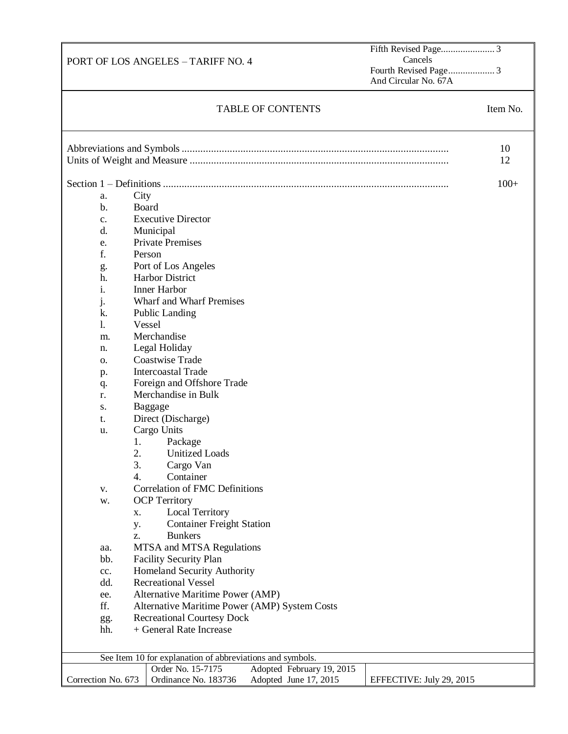Fifth Revised Page...................... 3 Cancels Fourth Revised Page................... 3 And Circular No. 67A

# TABLE OF CONTENTS Item No.

|                     |      |                                                                           | 10<br>12 |
|---------------------|------|---------------------------------------------------------------------------|----------|
|                     |      |                                                                           |          |
|                     |      |                                                                           | $100+$   |
|                     |      |                                                                           |          |
| a.<br>$\mathbf b$ . | City | Board                                                                     |          |
|                     |      |                                                                           |          |
| c.                  |      | <b>Executive Director</b>                                                 |          |
| d.                  |      | Municipal                                                                 |          |
| e.                  |      | <b>Private Premises</b>                                                   |          |
| f.                  |      | Person                                                                    |          |
| g.                  |      | Port of Los Angeles                                                       |          |
| h.                  |      | <b>Harbor District</b>                                                    |          |
| i.                  |      | <b>Inner Harbor</b>                                                       |          |
| j.                  |      | Wharf and Wharf Premises                                                  |          |
| k.                  |      | <b>Public Landing</b>                                                     |          |
| 1.                  |      | Vessel                                                                    |          |
| m.                  |      | Merchandise                                                               |          |
| n.                  |      | Legal Holiday                                                             |          |
| о.                  |      | <b>Coastwise Trade</b>                                                    |          |
| p.                  |      | <b>Intercoastal Trade</b>                                                 |          |
| q.                  |      | Foreign and Offshore Trade                                                |          |
| r.                  |      | Merchandise in Bulk                                                       |          |
| S.                  |      | Baggage                                                                   |          |
| t.                  |      | Direct (Discharge)                                                        |          |
| u.                  |      | Cargo Units                                                               |          |
|                     | 1.   | Package                                                                   |          |
|                     | 2.   | <b>Unitized Loads</b>                                                     |          |
|                     | 3.   | Cargo Van                                                                 |          |
|                     | 4.   | Container                                                                 |          |
| v.                  |      | <b>Correlation of FMC Definitions</b>                                     |          |
| w.                  |      | <b>OCP</b> Territory                                                      |          |
|                     | X.   | <b>Local Territory</b>                                                    |          |
|                     | y.   | <b>Container Freight Station</b>                                          |          |
|                     | Z.   | <b>Bunkers</b>                                                            |          |
| aa.                 |      | MTSA and MTSA Regulations                                                 |          |
| bb.                 |      | <b>Facility Security Plan</b>                                             |          |
|                     |      | <b>Homeland Security Authority</b>                                        |          |
| cc.                 |      | <b>Recreational Vessel</b>                                                |          |
| dd.                 |      |                                                                           |          |
| ee.                 |      | Alternative Maritime Power (AMP)                                          |          |
| ff.                 |      | Alternative Maritime Power (AMP) System Costs                             |          |
| gg.                 |      | <b>Recreational Courtesy Dock</b>                                         |          |
| hh.                 |      | + General Rate Increase                                                   |          |
|                     |      |                                                                           |          |
|                     |      | See Item 10 for explanation of abbreviations and symbols.                 |          |
|                     |      | Order No. 15-7175<br>Adopted February 19, 2015                            |          |
| Correction No. 673  |      | Ordinance No. 183736<br>Adopted June 17, 2015<br>EFFECTIVE: July 29, 2015 |          |
|                     |      |                                                                           |          |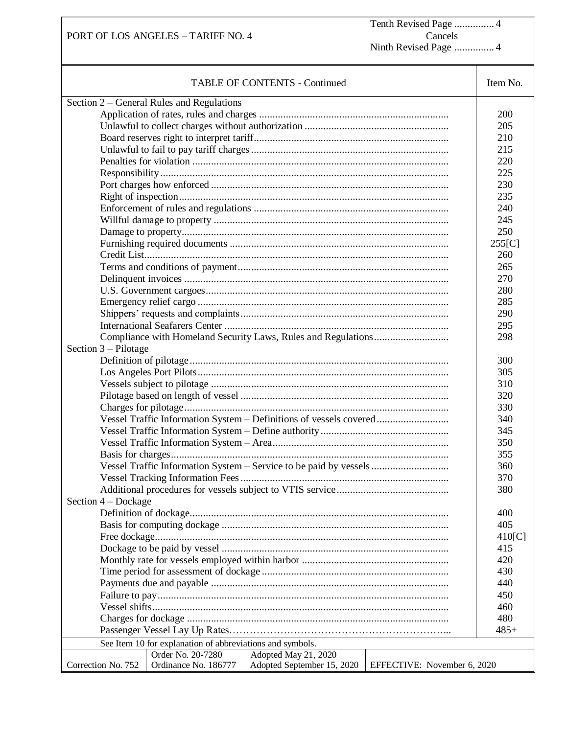Tenth Revised Page ............... 4 Cancels Ninth Revised Page ............... 4

| <b>TABLE OF CONTENTS - Continued</b>                                                                    | Item No.   |  |  |
|---------------------------------------------------------------------------------------------------------|------------|--|--|
| Section 2 – General Rules and Regulations                                                               |            |  |  |
|                                                                                                         | <b>200</b> |  |  |
|                                                                                                         | 205        |  |  |
|                                                                                                         | 210        |  |  |
|                                                                                                         | 215        |  |  |
|                                                                                                         | 220        |  |  |
|                                                                                                         | 225        |  |  |
|                                                                                                         | 230        |  |  |
|                                                                                                         | 235        |  |  |
|                                                                                                         | 240        |  |  |
|                                                                                                         | 245        |  |  |
|                                                                                                         | 250        |  |  |
|                                                                                                         | 255[C]     |  |  |
|                                                                                                         | 260        |  |  |
|                                                                                                         | 265        |  |  |
|                                                                                                         | 270        |  |  |
|                                                                                                         | 280        |  |  |
|                                                                                                         | 285        |  |  |
|                                                                                                         | 290        |  |  |
|                                                                                                         | 295        |  |  |
|                                                                                                         | 298        |  |  |
| Section 3 – Pilotage                                                                                    |            |  |  |
|                                                                                                         | 300        |  |  |
|                                                                                                         | 305        |  |  |
|                                                                                                         | 310        |  |  |
|                                                                                                         | 320        |  |  |
|                                                                                                         | 330        |  |  |
|                                                                                                         | 340        |  |  |
| Vessel Traffic Information System - Definitions of vessels covered                                      | 345        |  |  |
|                                                                                                         |            |  |  |
|                                                                                                         | 350        |  |  |
|                                                                                                         | 355        |  |  |
|                                                                                                         | 360        |  |  |
|                                                                                                         | 370        |  |  |
| Section $4 - \text{Dockage}$                                                                            | 380        |  |  |
|                                                                                                         | 400        |  |  |
|                                                                                                         | 405        |  |  |
|                                                                                                         | 410[C]     |  |  |
|                                                                                                         | 415        |  |  |
|                                                                                                         | 420        |  |  |
|                                                                                                         | 430        |  |  |
|                                                                                                         | 440        |  |  |
|                                                                                                         | 450        |  |  |
|                                                                                                         | 460        |  |  |
|                                                                                                         | 480        |  |  |
|                                                                                                         |            |  |  |
| See Item 10 for explanation of abbreviations and symbols.                                               | $485+$     |  |  |
| Order No. 20-7280<br>Adopted May 21, 2020                                                               |            |  |  |
| Ordinance No. 186777<br>Adopted September 15, 2020<br>Correction No. 752<br>EFFECTIVE: November 6, 2020 |            |  |  |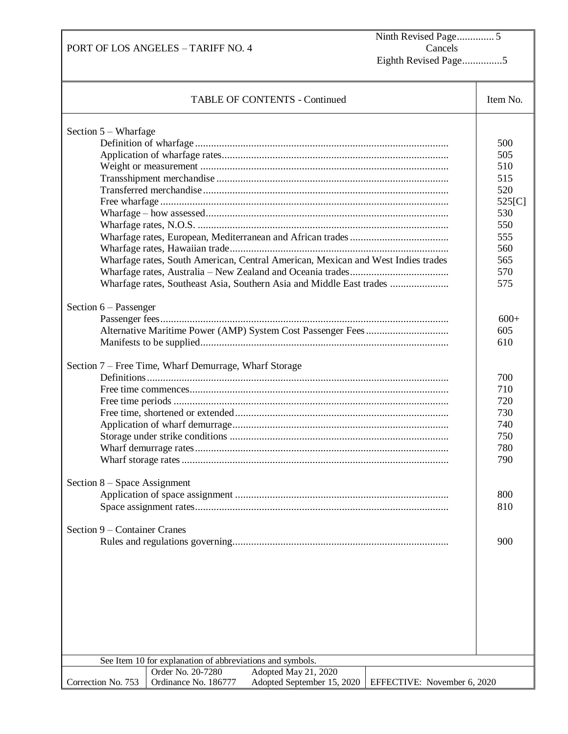Ninth Revised Page.............. 5 Cancels Eighth Revised Page...............5

| <b>TABLE OF CONTENTS - Continued</b>                                                                                                                                                                              |                                                                                                        |  |  |  |
|-------------------------------------------------------------------------------------------------------------------------------------------------------------------------------------------------------------------|--------------------------------------------------------------------------------------------------------|--|--|--|
| Section 5 – Wharfage<br>Wharfage rates, South American, Central American, Mexican and West Indies trades<br>Wharfage rates, Southeast Asia, Southern Asia and Middle East trades                                  | Item No.<br>500<br>505<br>510<br>515<br>520<br>525[C]<br>530<br>550<br>555<br>560<br>565<br>570<br>575 |  |  |  |
| Section $6$ – Passenger<br>Section 7 - Free Time, Wharf Demurrage, Wharf Storage                                                                                                                                  | $600+$<br>605<br>610<br>700<br>710<br>720<br>730<br>740<br>750<br>780<br>790                           |  |  |  |
| Section 8 – Space Assignment<br>Section 9 – Container Cranes                                                                                                                                                      | 800<br>810<br>900                                                                                      |  |  |  |
| See Item 10 for explanation of abbreviations and symbols.<br>Order No. 20-7280<br>Adopted May 21, 2020<br>Ordinance No. 186777<br>Adopted September 15, 2020<br>Correction No. 753<br>EFFECTIVE: November 6, 2020 |                                                                                                        |  |  |  |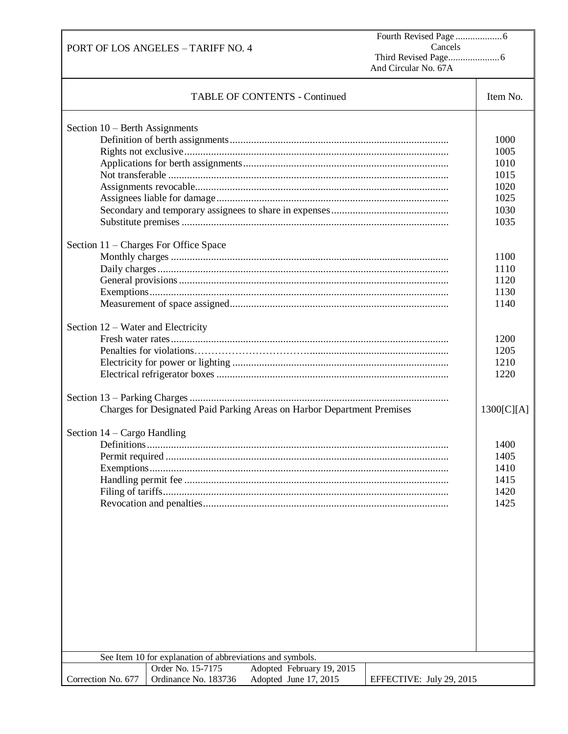Fourth Revised Page ...................6 Cancels Third Revised Page.....................6 And Circular No. 67A

| <b>TABLE OF CONTENTS - Continued</b>                                                                        | Item No.                                                                             |
|-------------------------------------------------------------------------------------------------------------|--------------------------------------------------------------------------------------|
| Section $10$ – Berth Assignments<br>Section 11 – Charges For Office Space                                   | 1000<br>1005<br>1010<br>1015<br>1020<br>1025<br>1030<br>1035<br>1100<br>1110<br>1120 |
|                                                                                                             | 1130<br>1140                                                                         |
| Section 12 – Water and Electricity                                                                          | 1200<br>1205<br>1210<br>1220                                                         |
| Charges for Designated Paid Parking Areas on Harbor Department Premises                                     | 1300[C][A]                                                                           |
| Section 14 – Cargo Handling<br>Filing of tariffs.                                                           | 1400<br>1405<br>1410<br>1415<br>1420<br>1425                                         |
| See Item 10 for explanation of abbreviations and symbols.<br>Adopted February 19, 2015<br>Order No. 15-7175 |                                                                                      |
| Ordinance No. 183736<br>Correction No. 677<br>Adopted June 17, 2015<br>EFFECTIVE: July 29, 2015             |                                                                                      |

PORT OF LOS ANGELES – TARIFF NO. 4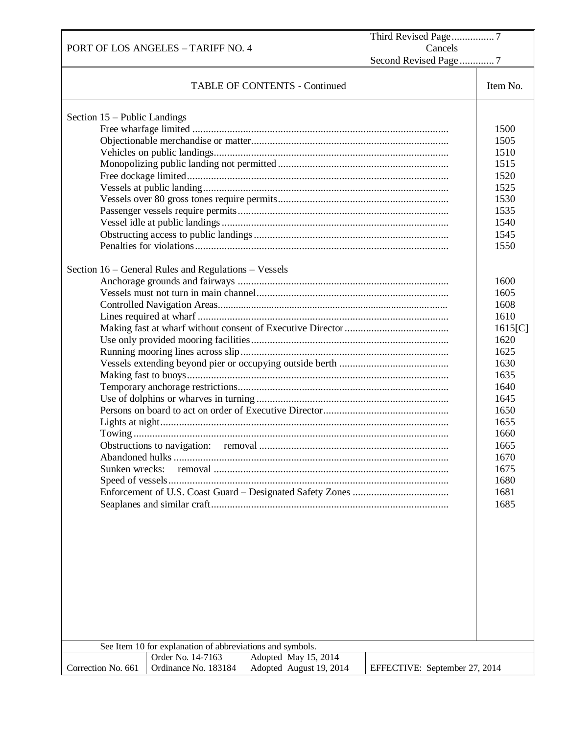| PORT OF LOS ANGELES - TARIFF NO. 4                                                                                                                                  | Cancels                                                                                                                                                                                                                                                 |
|---------------------------------------------------------------------------------------------------------------------------------------------------------------------|---------------------------------------------------------------------------------------------------------------------------------------------------------------------------------------------------------------------------------------------------------|
|                                                                                                                                                                     | Second Revised Page 7                                                                                                                                                                                                                                   |
| <b>TABLE OF CONTENTS - Continued</b>                                                                                                                                | Item No.                                                                                                                                                                                                                                                |
| Section 15 - Public Landings<br>Section 16 – General Rules and Regulations – Vessels<br>Sunken wrecks:<br>See Item 10 for explanation of abbreviations and symbols. | 1500<br>1505<br>1510<br>1515<br>1520<br>1525<br>1530<br>1535<br>1540<br>1545<br>1550<br>1600<br>1605<br>1608<br>1610<br>1615[C]<br>1620<br>1625<br>1630<br>1635<br>1640<br>1645<br>1650<br>1655<br>1660<br>1665<br>1670<br>1675<br>1680<br>1681<br>1685 |
| Order No. 14-7163<br>Adopted May 15, 2014                                                                                                                           |                                                                                                                                                                                                                                                         |
| Ordinance No. 183184<br>Correction No. 661<br>Adopted August 19, 2014                                                                                               | EFFECTIVE: September 27, 2014                                                                                                                                                                                                                           |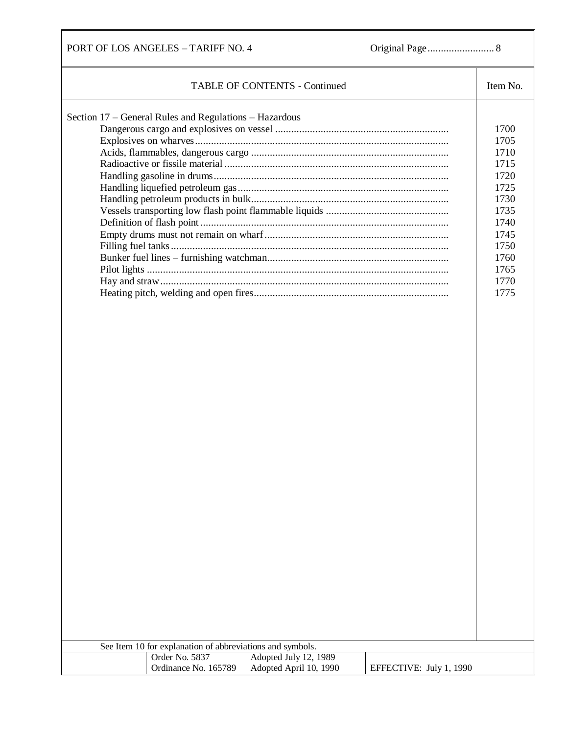PORT OF LOS ANGELES – TARIFF NO. 4 Original Page......................... 8

| <b>TABLE OF CONTENTS - Continued</b>                                                                                 | Item No.                                                                                                             |
|----------------------------------------------------------------------------------------------------------------------|----------------------------------------------------------------------------------------------------------------------|
| Section 17 – General Rules and Regulations – Hazardous<br>See Item 10 for explanation of abbreviations and symbols.  | 1700<br>1705<br>1710<br>1715<br>1720<br>1725<br>1730<br>1735<br>1740<br>1745<br>1750<br>1760<br>1765<br>1770<br>1775 |
| Order No. 5837<br>Adopted July 12, 1989<br>Ordinance No. 165789<br>Adopted April 10, 1990<br>EFFECTIVE: July 1, 1990 |                                                                                                                      |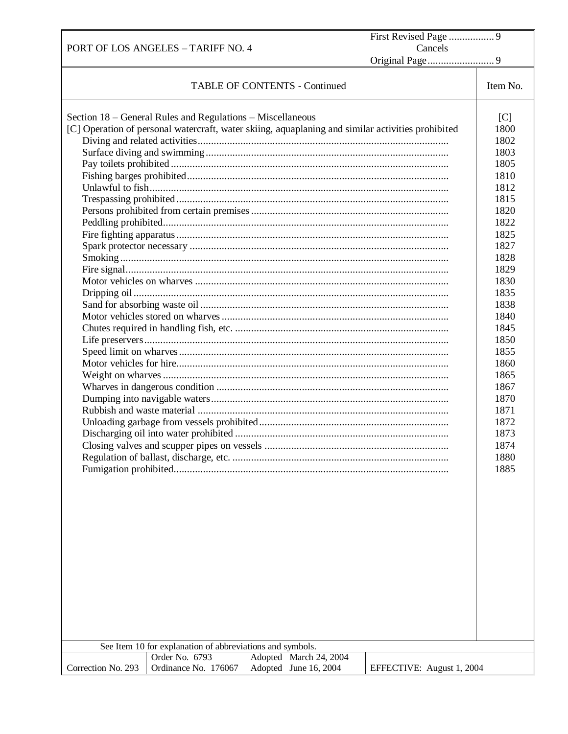|                    | PORT OF LOS ANGELES - TARIFF NO. 4                                                                                                                                                                                                             |                                      | Cancels                   |                                                                                                                                                                                                                                                     |
|--------------------|------------------------------------------------------------------------------------------------------------------------------------------------------------------------------------------------------------------------------------------------|--------------------------------------|---------------------------|-----------------------------------------------------------------------------------------------------------------------------------------------------------------------------------------------------------------------------------------------------|
|                    |                                                                                                                                                                                                                                                |                                      |                           |                                                                                                                                                                                                                                                     |
|                    |                                                                                                                                                                                                                                                | <b>TABLE OF CONTENTS - Continued</b> |                           | Item No.                                                                                                                                                                                                                                            |
|                    | Section 18 – General Rules and Regulations – Miscellaneous<br>[C] Operation of personal watercraft, water skiing, aquaplaning and similar activities prohibited<br>See Item 10 for explanation of abbreviations and symbols.<br>Order No. 6793 | Adopted March 24, 2004               |                           | [C]<br>1800<br>1802<br>1803<br>1805<br>1810<br>1812<br>1815<br>1820<br>1822<br>1825<br>1827<br>1828<br>1829<br>1830<br>1835<br>1838<br>1840<br>1845<br>1850<br>1855<br>1860<br>1865<br>1867<br>1870<br>1871<br>1872<br>1873<br>1874<br>1880<br>1885 |
| Correction No. 293 | Ordinance No. 176067                                                                                                                                                                                                                           | Adopted June 16, 2004                | EFFECTIVE: August 1, 2004 |                                                                                                                                                                                                                                                     |

Г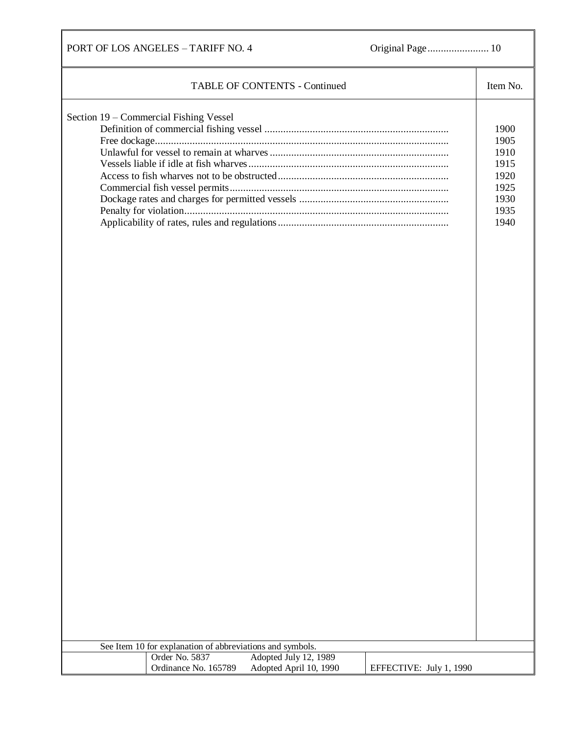PORT OF LOS ANGELES – TARIFF NO. 4 Original Page....................... 10

| <b>TABLE OF CONTENTS - Continued</b><br>Section 19 – Commercial Fishing Vessel                                                                                                    | Item No.<br>1900<br>1905<br>1910<br>1915<br>1920<br>1925<br>1930<br>1935<br>1940 |
|-----------------------------------------------------------------------------------------------------------------------------------------------------------------------------------|----------------------------------------------------------------------------------|
| See Item 10 for explanation of abbreviations and symbols.<br>Order No. 5837<br>Adopted July 12, 1989<br>Ordinance No. 165789<br>Adopted April 10, 1990<br>EFFECTIVE: July 1, 1990 |                                                                                  |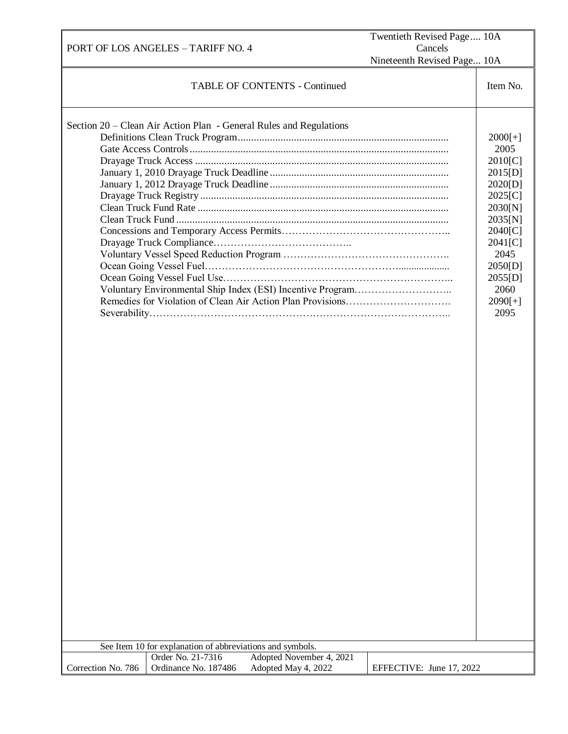| PORT OF LOS ANGELES - TARIFF NO. 4                                                                                                                                                            | Twentieth Revised Page 10A<br>Cancels |                                                                                                                                                                      |
|-----------------------------------------------------------------------------------------------------------------------------------------------------------------------------------------------|---------------------------------------|----------------------------------------------------------------------------------------------------------------------------------------------------------------------|
| Nineteenth Revised Page 10A                                                                                                                                                                   |                                       |                                                                                                                                                                      |
| <b>TABLE OF CONTENTS - Continued</b>                                                                                                                                                          |                                       | Item No.                                                                                                                                                             |
| Section 20 – Clean Air Action Plan - General Rules and Regulations<br>Voluntary Environmental Ship Index (ESI) Incentive Program<br>See Item 10 for explanation of abbreviations and symbols. |                                       | $2000[+]$<br>2005<br>2010[C]<br>2015[D]<br>2020[D]<br>2025[C]<br>2030[N]<br>2035[N]<br>2040[C]<br>2041[C]<br>2045<br>2050[D]<br>2055[D]<br>2060<br>$2090[+]$<br>2095 |
| Order No. 21-7316<br>Adopted November 4, 2021<br>Adopted May 4, 2022<br>Correction No. 786<br>Ordinance No. 187486                                                                            | EFFECTIVE: June 17, 2022              |                                                                                                                                                                      |
|                                                                                                                                                                                               |                                       |                                                                                                                                                                      |

EFFECTIVE: January 13, 2014Order No. 12-7116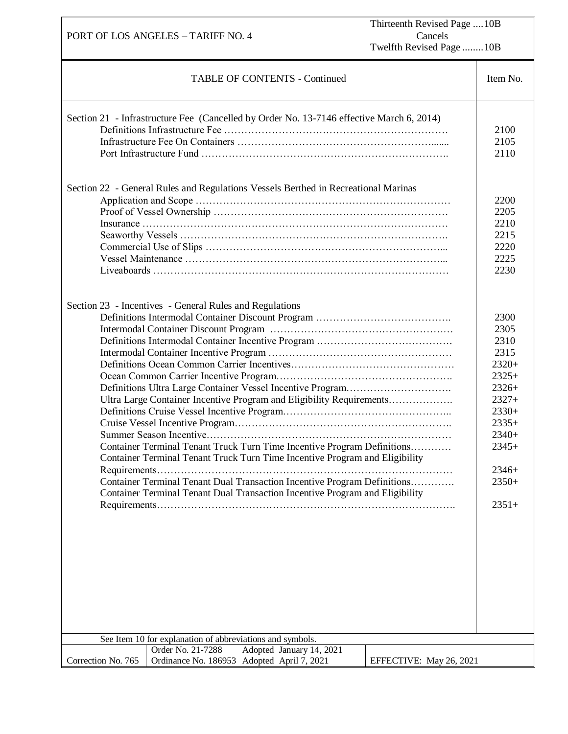| Thirteenth Revised Page  10B<br>Cancels<br>PORT OF LOS ANGELES - TARIFF NO. 4<br>Twelfth Revised Page 10B |                                                                                                                                                                                                                                                                                                                                                                                                                                                                                                                                               |                         |                                                                                                                                                       |
|-----------------------------------------------------------------------------------------------------------|-----------------------------------------------------------------------------------------------------------------------------------------------------------------------------------------------------------------------------------------------------------------------------------------------------------------------------------------------------------------------------------------------------------------------------------------------------------------------------------------------------------------------------------------------|-------------------------|-------------------------------------------------------------------------------------------------------------------------------------------------------|
|                                                                                                           | <b>TABLE OF CONTENTS - Continued</b>                                                                                                                                                                                                                                                                                                                                                                                                                                                                                                          |                         | Item No.                                                                                                                                              |
|                                                                                                           | Section 21 - Infrastructure Fee (Cancelled by Order No. 13-7146 effective March 6, 2014)<br>Section 22 - General Rules and Regulations Vessels Berthed in Recreational Marinas                                                                                                                                                                                                                                                                                                                                                                |                         | 2100<br>2105<br>2110<br>2200<br>2205<br>2210<br>2215                                                                                                  |
|                                                                                                           |                                                                                                                                                                                                                                                                                                                                                                                                                                                                                                                                               |                         | 2220<br>2225<br>2230                                                                                                                                  |
|                                                                                                           | Section 23 - Incentives - General Rules and Regulations<br>Ultra Large Container Incentive Program and Eligibility Requirements<br>Summer Season Incentive<br>Container Terminal Tenant Truck Turn Time Incentive Program Definitions<br>Container Terminal Tenant Truck Turn Time Incentive Program and Eligibility<br>Container Terminal Tenant Dual Transaction Incentive Program Definitions<br>Container Terminal Tenant Dual Transaction Incentive Program and Eligibility<br>See Item 10 for explanation of abbreviations and symbols. |                         | 2300<br>2305<br>2310<br>2315<br>$2320+$<br>$2325+$<br>$2326+$<br>$2327+$<br>$2330+$<br>$2335+$<br>$2340+$<br>$2345+$<br>$2346+$<br>$2350+$<br>$2351+$ |
|                                                                                                           | Order No. 21-7288<br>Adopted January 14, 2021                                                                                                                                                                                                                                                                                                                                                                                                                                                                                                 |                         |                                                                                                                                                       |
| Correction No. 765                                                                                        | Ordinance No. 186953 Adopted April 7, 2021                                                                                                                                                                                                                                                                                                                                                                                                                                                                                                    | EFFECTIVE: May 26, 2021 |                                                                                                                                                       |

EFFECTIVE: September 27, 2014Order No. 13-7148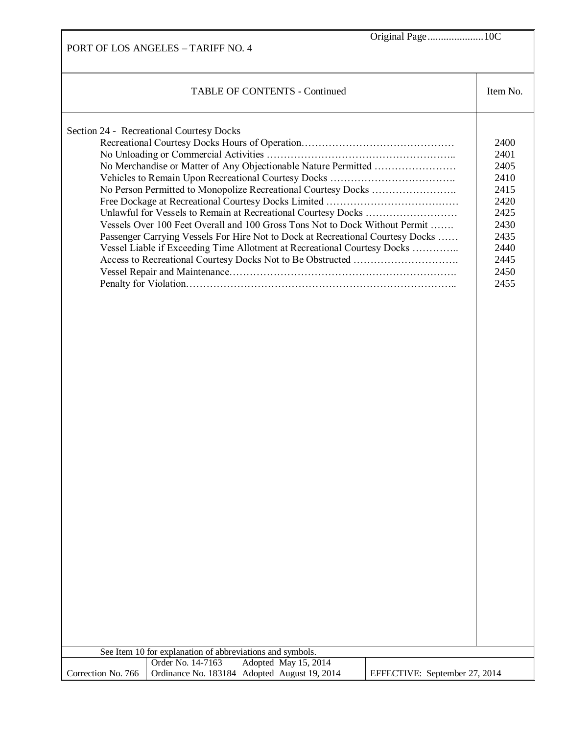PORT OF LOS ANGELES – TARIFF NO. 4 Original Page.....................10C TABLE OF CONTENTS - Continued Item No. Section 24 - Recreational Courtesy Docks Recreational Courtesy Docks Hours of Operation…………………………………………………………………………………………… No Unloading or Commercial Activities ……………………………………………….. No Merchandise or Matter of Any Objectionable Nature Permitted …………………… Vehicles to Remain Upon Recreational Courtesy Docks ………………………………. No Person Permitted to Monopolize Recreational Courtesy Docks ……………………. Free Dockage at Recreational Courtesy Docks Limited ………………………………… Unlawful for Vessels to Remain at Recreational Courtesy Docks ……………………… Vessels Over 100 Feet Overall and 100 Gross Tons Not to Dock Without Permit ……. Passenger Carrying Vessels For Hire Not to Dock at Recreational Courtesy Docks …… Vessel Liable if Exceeding Time Allotment at Recreational Courtesy Docks ………….. Access to Recreational Courtesy Docks Not to Be Obstructed …………………………. Vessel Repair and Maintenance…………………………………………………………. Penalty for Violation…………………………………………………………………….. 2400 2401 2405 2410 2415 2420 2425 2430 2435 2440 2445 2450 2455 See Item 10 for explanation of abbreviations and symbols. Correction No. 766 Order No. 14-7163 Adopted May 15, 2014 Ordinance No. 183184 Adopted August 19, 2014 EFFECTIVE: September 27, 2014

EFFECTIVE: September 27, 2014Order No. 13-7148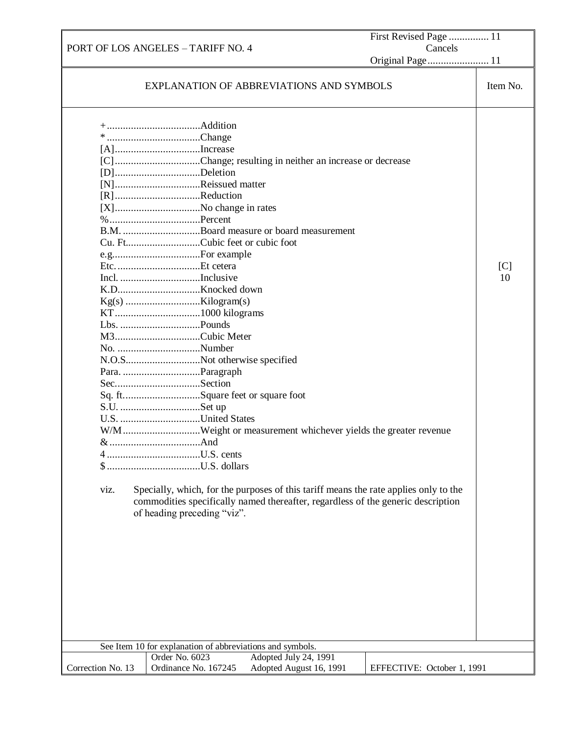PORT OF LOS ANGELES – TARIFF NO. 4 First Revised Page ............... 11 Cancels Original Page....................... 11 EXPLANATION OF ABBREVIATIONS AND SYMBOLS ITEM No. +...................................Addition \* ...................................Change [A]................................Increase [C]................................Change; resulting in neither an increase or decrease [D]................................Deletion [N]................................Reissued matter [R]................................Reduction [X]................................No change in rates %..................................Percent B.M. .............................Board measure or board measurement Cu. Ft............................Cubic feet or cubic foot e.g.................................For example Etc................................Et cetera Incl. ..............................Inclusive K.D...............................Knocked down Kg(s) ............................Kilogram(s) KT................................1000 kilograms Lbs. ..............................Pounds M3................................Cubic Meter No. ...............................Number N.O.S............................Not otherwise specified Para. .............................Paragraph Sec................................Section Sq. ft.............................Square feet or square foot S.U. ..............................Set up U.S. ..............................United States W/M.............................Weight or measurement whichever yields the greater revenue &..................................And ...................................U.S. cents \$ ...................................U.S. dollars viz. Specially, which, for the purposes of this tariff means the rate applies only to the commodities specifically named thereafter, regardless of the generic description of heading preceding "viz".  $[C]$ 10 See Item 10 for explanation of abbreviations and symbols. Correction No. 13 Order No. 6023 Adopted July 24, 1991 Ordinance No. 167245 Adopted August 16, 1991 | EFFECTIVE: October 1, 1991